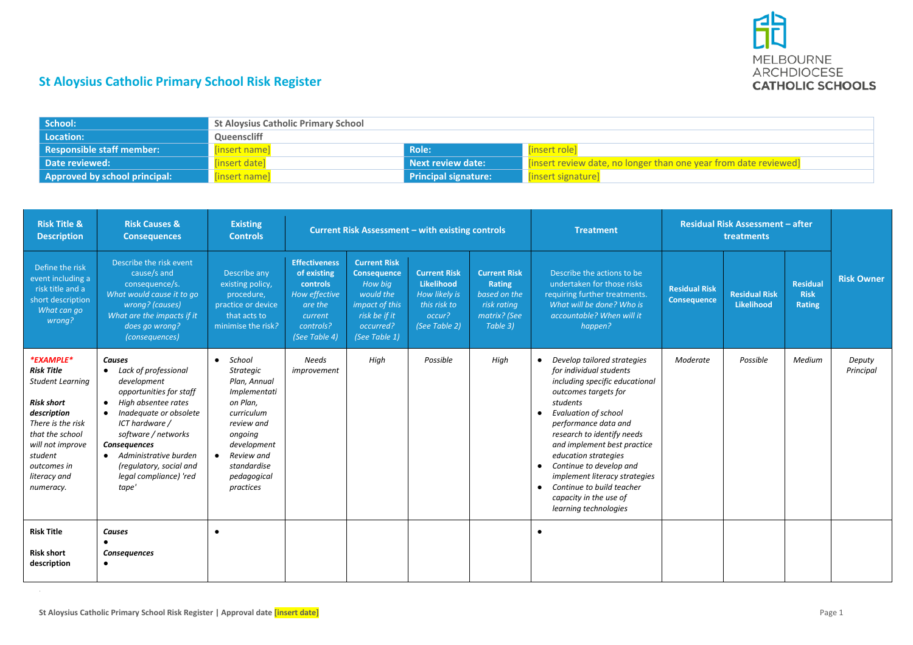

# **St Aloysius Catholic Primary School Risk Register**

| School:                          | <b>St Aloysius Catholic Primary School</b> |                             |                                                                  |  |  |  |
|----------------------------------|--------------------------------------------|-----------------------------|------------------------------------------------------------------|--|--|--|
| Location:                        | Queenscliff                                |                             |                                                                  |  |  |  |
| <b>Responsible staff member:</b> | linsert namel                              | Role:                       | l finsert rolel                                                  |  |  |  |
| Date reviewed:                   | <b>linsert datel</b>                       | Next review date:           | [insert review date, no longer than one year from date reviewed] |  |  |  |
| Approved by school principal:    | <b>finsert namel</b>                       | <b>Principal signature:</b> | [insert signature]                                               |  |  |  |

| <b>Risk Title &amp;</b><br><b>Description</b>                                                                                                                                                                    | <b>Risk Causes &amp;</b><br><b>Consequences</b>                                                                                                                                                                                                                                          | <b>Existing</b><br><b>Controls</b>                                                                                                                                                                              |                                                                                                                             | <b>Current Risk Assessment - with existing controls</b>                                                                            |                                                                                                      |                                                                                          | <b>Treatment</b>                                                                                                                                                                                                                                                                                                                                                                                                                                                         |                                     | <b>Residual Risk Assessment - after</b><br>treatments |                                          |                     |
|------------------------------------------------------------------------------------------------------------------------------------------------------------------------------------------------------------------|------------------------------------------------------------------------------------------------------------------------------------------------------------------------------------------------------------------------------------------------------------------------------------------|-----------------------------------------------------------------------------------------------------------------------------------------------------------------------------------------------------------------|-----------------------------------------------------------------------------------------------------------------------------|------------------------------------------------------------------------------------------------------------------------------------|------------------------------------------------------------------------------------------------------|------------------------------------------------------------------------------------------|--------------------------------------------------------------------------------------------------------------------------------------------------------------------------------------------------------------------------------------------------------------------------------------------------------------------------------------------------------------------------------------------------------------------------------------------------------------------------|-------------------------------------|-------------------------------------------------------|------------------------------------------|---------------------|
| Define the risk<br>event including a<br>risk title and a<br>short description<br>What can go<br>wrong?                                                                                                           | Describe the risk event<br>cause/s and<br>consequence/s.<br>What would cause it to go<br>wrong? (causes)<br>What are the impacts if it<br>does go wrong?<br>(consequences)                                                                                                               | Describe any<br>existing policy,<br>procedure,<br>practice or device<br>that acts to<br>minimise the risk?                                                                                                      | <b>Effectiveness</b><br>of existing<br><b>controls</b><br>How effective<br>are the<br>current<br>controls?<br>(See Table 4) | <b>Current Risk</b><br><b>Consequence</b><br>How big<br>would the<br>impact of this<br>risk be if it<br>occurred?<br>(See Table 1) | <b>Current Risk</b><br><b>Likelihood</b><br>How likely is<br>this risk to<br>occur?<br>(See Table 2) | <b>Current Risk</b><br>Rating<br>based on the<br>risk rating<br>matrix? (See<br>Table 3) | Describe the actions to be<br>undertaken for those risks<br>requiring further treatments.<br>What will be done? Who is<br>accountable? When will it<br>happen?                                                                                                                                                                                                                                                                                                           | <b>Residual Risk</b><br>Consequence | <b>Residual Risk</b><br>Likelihood                    | <b>Residual</b><br><b>Risk</b><br>Rating | <b>Risk Owner</b>   |
| *EXAMPLE*<br><b>Risk Title</b><br><b>Student Learning</b><br><b>Risk short</b><br>description<br>There is the risk<br>that the school<br>will not improve<br>student<br>outcomes in<br>literacy and<br>numeracy. | <b>Causes</b><br>• Lack of professional<br>development<br>opportunities for staff<br>• High absentee rates<br>• Inadequate or obsolete<br>ICT hardware /<br>software / networks<br>Consequences<br>• Administrative burden<br>(regulatory, social and<br>legal compliance) 'red<br>tape' | School<br>$\bullet$<br><b>Strategic</b><br>Plan, Annual<br>Implementati<br>on Plan,<br>curriculum<br>review and<br>ongoing<br>development<br>Review and<br>$\bullet$<br>standardise<br>pedagogical<br>practices | Needs<br>improvement                                                                                                        | High                                                                                                                               | Possible                                                                                             | High                                                                                     | Develop tailored strategies<br>$\bullet$<br>for individual students<br>including specific educational<br>outcomes targets for<br>students<br><b>Evaluation of school</b><br>$\bullet$<br>performance data and<br>research to identify needs<br>and implement best practice<br>education strategies<br>Continue to develop and<br>$\bullet$<br>implement literacy strategies<br>Continue to build teacher<br>$\bullet$<br>capacity in the use of<br>learning technologies | Moderate                            | Possible                                              | Medium                                   | Deputy<br>Principal |
| <b>Risk Title</b><br><b>Risk short</b><br>description                                                                                                                                                            | Causes<br><b>Consequences</b><br>$\bullet$                                                                                                                                                                                                                                               | $\bullet$                                                                                                                                                                                                       |                                                                                                                             |                                                                                                                                    |                                                                                                      |                                                                                          | $\bullet$                                                                                                                                                                                                                                                                                                                                                                                                                                                                |                                     |                                                       |                                          |                     |

 $\mathcal{L}_{\mathcal{A}}$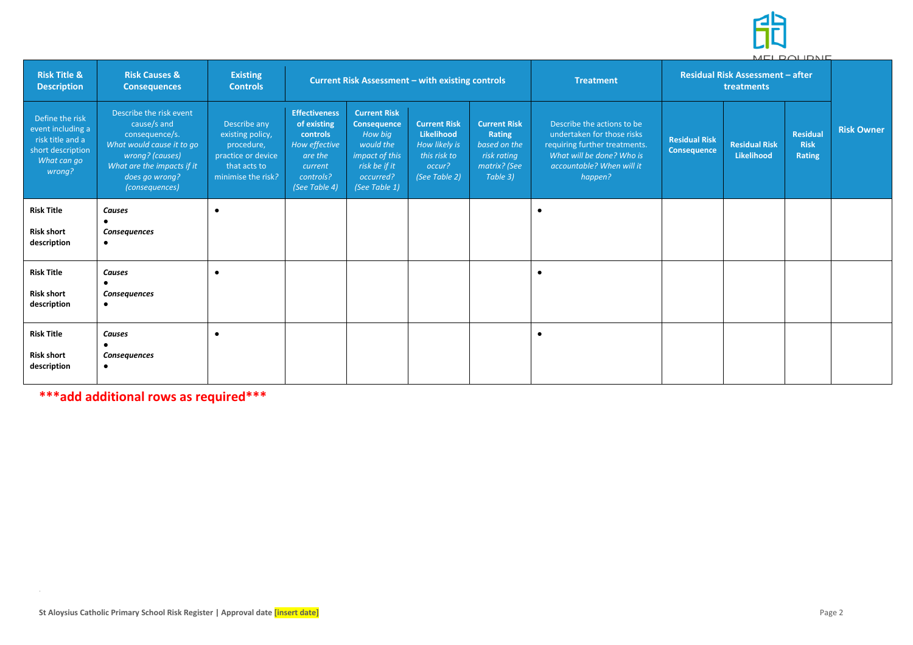

| <b>Risk Title &amp;</b><br><b>Description</b>                                                          | <b>Risk Causes &amp;</b><br><b>Consequences</b>                                                                                                                            | <b>Existing</b><br><b>Controls</b>                                                                         | <b>Current Risk Assessment - with existing controls</b>                                                              |                                                                                                                             |                                                                                               | <b>Treatment</b>                                                                         | <b>Residual Risk Assessment - after</b><br>treatments                                                                                                          |                                            |                                           |                                   |                   |
|--------------------------------------------------------------------------------------------------------|----------------------------------------------------------------------------------------------------------------------------------------------------------------------------|------------------------------------------------------------------------------------------------------------|----------------------------------------------------------------------------------------------------------------------|-----------------------------------------------------------------------------------------------------------------------------|-----------------------------------------------------------------------------------------------|------------------------------------------------------------------------------------------|----------------------------------------------------------------------------------------------------------------------------------------------------------------|--------------------------------------------|-------------------------------------------|-----------------------------------|-------------------|
| Define the risk<br>event including a<br>risk title and a<br>short description<br>What can go<br>wrong? | Describe the risk event<br>cause/s and<br>consequence/s.<br>What would cause it to go<br>wrong? (causes)<br>What are the impacts if it<br>does go wrong?<br>(consequences) | Describe any<br>existing policy,<br>procedure,<br>practice or device<br>that acts to<br>minimise the risk? | <b>Effectiveness</b><br>of existing<br>controls<br>How effective<br>are the<br>current<br>controls?<br>(See Table 4) | <b>Current Risk</b><br>Consequence<br>How big<br>would the<br>impact of this<br>risk be if it<br>occurred?<br>(See Table 1) | <b>Current Risk</b><br>Likelihood<br>How likely is<br>this risk to<br>occur?<br>(See Table 2) | <b>Current Risk</b><br>Rating<br>based on the<br>risk rating<br>matrix? (See<br>Table 3) | Describe the actions to be<br>undertaken for those risks<br>requiring further treatments.<br>What will be done? Who is<br>accountable? When will it<br>happen? | <b>Residual Risk</b><br><b>Consequence</b> | <b>Residual Risk</b><br><b>Likelihood</b> | Residual<br><b>Risk</b><br>Rating | <b>Risk Owner</b> |
| <b>Risk Title</b><br><b>Risk short</b><br>description                                                  | Causes<br><b>Consequences</b><br>$\bullet$                                                                                                                                 |                                                                                                            |                                                                                                                      |                                                                                                                             |                                                                                               |                                                                                          |                                                                                                                                                                |                                            |                                           |                                   |                   |
| <b>Risk Title</b><br><b>Risk short</b><br>description                                                  | Causes<br>Consequences<br>$\bullet$                                                                                                                                        |                                                                                                            |                                                                                                                      |                                                                                                                             |                                                                                               |                                                                                          | $\bullet$                                                                                                                                                      |                                            |                                           |                                   |                   |
| <b>Risk Title</b><br><b>Risk short</b><br>description                                                  | Causes<br>Consequences                                                                                                                                                     |                                                                                                            |                                                                                                                      |                                                                                                                             |                                                                                               |                                                                                          | ٠                                                                                                                                                              |                                            |                                           |                                   |                   |

**\*\*\*add additional rows as required\*\*\***

 $\sim$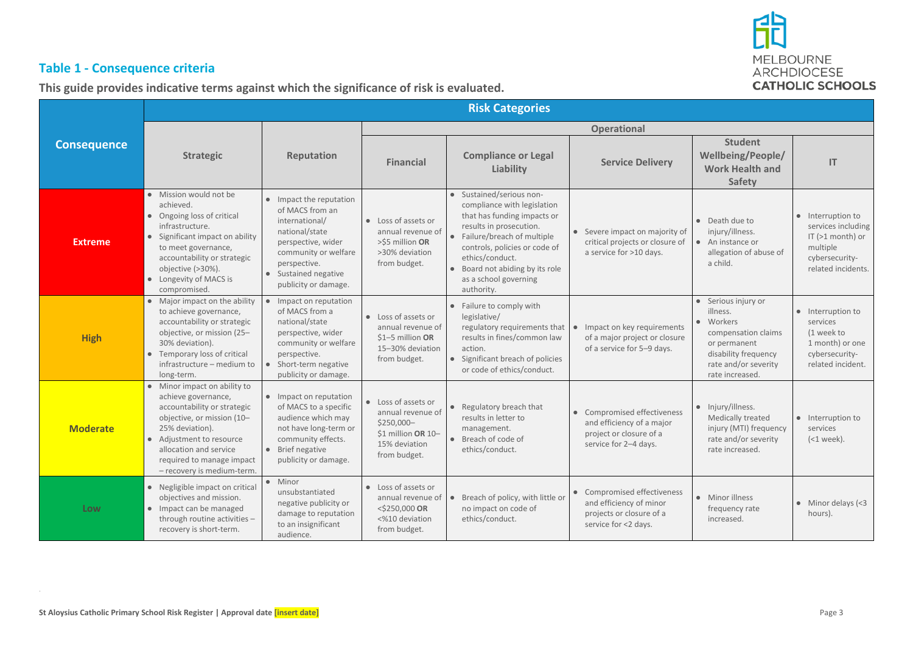

## **Table 1 - Consequence criteria**

**This guide provides indicative terms against which the significance of risk is evaluated.**

|                    |                                                                                                                                                                                                                                                      |                                                                                                                                                                                              |                                                                                                               | <b>Risk Categories</b>                                                                                                                                                                                                                                                          |                                                                                                              |                                                                                                                                                        |                                                                                                                 |  |
|--------------------|------------------------------------------------------------------------------------------------------------------------------------------------------------------------------------------------------------------------------------------------------|----------------------------------------------------------------------------------------------------------------------------------------------------------------------------------------------|---------------------------------------------------------------------------------------------------------------|---------------------------------------------------------------------------------------------------------------------------------------------------------------------------------------------------------------------------------------------------------------------------------|--------------------------------------------------------------------------------------------------------------|--------------------------------------------------------------------------------------------------------------------------------------------------------|-----------------------------------------------------------------------------------------------------------------|--|
|                    |                                                                                                                                                                                                                                                      |                                                                                                                                                                                              | Operational                                                                                                   |                                                                                                                                                                                                                                                                                 |                                                                                                              |                                                                                                                                                        |                                                                                                                 |  |
| <b>Consequence</b> | <b>Strategic</b>                                                                                                                                                                                                                                     | Reputation                                                                                                                                                                                   | <b>Financial</b>                                                                                              | <b>Compliance or Legal</b><br>Liability                                                                                                                                                                                                                                         | <b>Service Delivery</b>                                                                                      | <b>Student</b><br>Wellbeing/People/<br><b>Work Health and</b><br>Safety                                                                                | IT                                                                                                              |  |
| <b>Extreme</b>     | • Mission would not be<br>achieved.<br>• Ongoing loss of critical<br>infrastructure.<br>• Significant impact on ability<br>to meet governance,<br>accountability or strategic<br>objective (>30%).<br>• Longevity of MACS is<br>compromised.         | • Impact the reputation<br>of MACS from an<br>international/<br>national/state<br>perspective, wider<br>community or welfare<br>perspective.<br>• Sustained negative<br>publicity or damage. | • Loss of assets or<br>annual revenue of<br>>\$5 million OR<br>>30% deviation<br>from budget.                 | • Sustained/serious non-<br>compliance with legislation<br>that has funding impacts or<br>results in prosecution.<br>• Failure/breach of multiple<br>controls, policies or code of<br>ethics/conduct.<br>• Board not abiding by its role<br>as a school governing<br>authority. | • Severe impact on majority of<br>critical projects or closure of<br>a service for >10 days.                 | • Death due to<br>injury/illness.<br>• An instance or<br>allegation of abuse of<br>a child.                                                            | • Interruption to<br>services including<br>IT (>1 month) or<br>multiple<br>cybersecurity-<br>related incidents. |  |
| <b>High</b>        | • Major impact on the ability<br>to achieve governance,<br>accountability or strategic<br>objective, or mission (25-<br>30% deviation).<br>• Temporary loss of critical<br>infrastructure - medium to<br>long-term.                                  | • Impact on reputation<br>of MACS from a<br>national/state<br>perspective, wider<br>community or welfare<br>perspective.<br>• Short-term negative<br>publicity or damage.                    | • Loss of assets or<br>annual revenue of<br>\$1-5 million OR<br>15-30% deviation<br>from budget.              | • Failure to comply with<br>legislative/<br>regulatory requirements that<br>results in fines/common law<br>action.<br>• Significant breach of policies<br>or code of ethics/conduct.                                                                                            | Impact on key requirements<br>$\bullet$<br>of a major project or closure<br>of a service for 5-9 days.       | • Serious injury or<br>illness.<br>· Workers<br>compensation claims<br>or permanent<br>disability frequency<br>rate and/or severity<br>rate increased. | • Interruption to<br>services<br>(1 week to<br>1 month) or one<br>cybersecurity-<br>related incident.           |  |
| <b>Moderate</b>    | • Minor impact on ability to<br>achieve governance,<br>accountability or strategic<br>objective, or mission (10-<br>25% deviation).<br>• Adjustment to resource<br>allocation and service<br>required to manage impact<br>- recovery is medium-term. | • Impact on reputation<br>of MACS to a specific<br>audience which may<br>not have long-term or<br>community effects.<br>• Brief negative<br>publicity or damage.                             | • Loss of assets or<br>annual revenue of<br>\$250,000-<br>\$1 million OR 10-<br>15% deviation<br>from budget. | • Regulatory breach that<br>results in letter to<br>management.<br>$\bullet$ Breach of code of<br>ethics/conduct.                                                                                                                                                               | • Compromised effectiveness<br>and efficiency of a major<br>project or closure of a<br>service for 2-4 days. | • Injury/illness.<br>Medically treated<br>injury (MTI) frequency<br>rate and/or severity<br>rate increased.                                            | • Interruption to<br>services<br>$(1 week).$                                                                    |  |
| Low                | • Negligible impact on critical<br>objectives and mission.<br>• Impact can be managed<br>through routine activities -<br>recovery is short-term.                                                                                                     | Minor<br>unsubstantiated<br>negative publicity or<br>damage to reputation<br>to an insignificant<br>audience.                                                                                | • Loss of assets or<br>annual revenue of<br><\$250,000 OR<br><%10 deviation<br>from budget.                   | Breach of policy, with little or<br>no impact on code of<br>ethics/conduct.                                                                                                                                                                                                     | • Compromised effectiveness<br>and efficiency of minor<br>projects or closure of a<br>service for <2 days.   | • Minor illness<br>frequency rate<br>increased.                                                                                                        | $\bullet$ Minor delays (<3<br>hours).                                                                           |  |

 $\mathcal{L}$